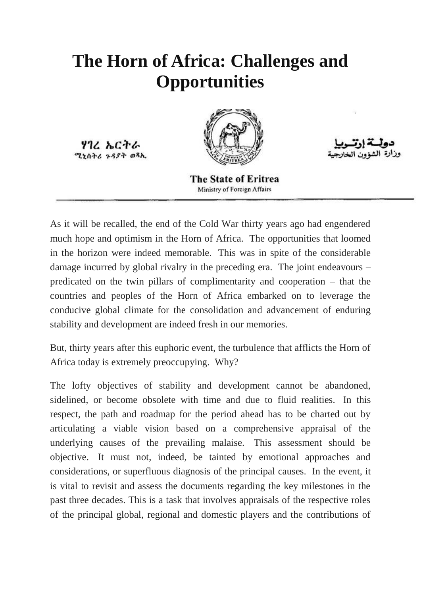## **The Horn of Africa: Challenges and Opportunities**

ሃገረ ኤርትራ ሚነስትሪ ጉዳያት ወጻኢ



The State of Eritrea Ministry of Foreign Affairs

As it will be recalled, the end of the Cold War thirty years ago had engendered much hope and optimism in the Horn of Africa. The opportunities that loomed in the horizon were indeed memorable. This was in spite of the considerable damage incurred by global rivalry in the preceding era. The joint endeavours – predicated on the twin pillars of complimentarity and cooperation – that the countries and peoples of the Horn of Africa embarked on to leverage the conducive global climate for the consolidation and advancement of enduring stability and development are indeed fresh in our memories.

But, thirty years after this euphoric event, the turbulence that afflicts the Horn of Africa today is extremely preoccupying. Why?

The lofty objectives of stability and development cannot be abandoned, sidelined, or become obsolete with time and due to fluid realities. In this respect, the path and roadmap for the period ahead has to be charted out by articulating a viable vision based on a comprehensive appraisal of the underlying causes of the prevailing malaise. This assessment should be objective. It must not, indeed, be tainted by emotional approaches and considerations, or superfluous diagnosis of the principal causes. In the event, it is vital to revisit and assess the documents regarding the key milestones in the past three decades. This is a task that involves appraisals of the respective roles of the principal global, regional and domestic players and the contributions of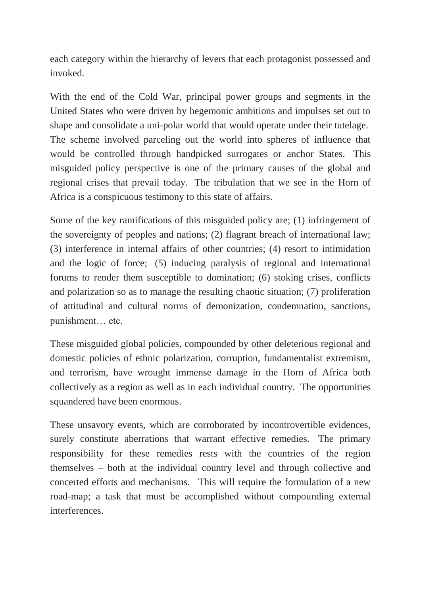each category within the hierarchy of levers that each protagonist possessed and invoked.

With the end of the Cold War, principal power groups and segments in the United States who were driven by hegemonic ambitions and impulses set out to shape and consolidate a uni-polar world that would operate under their tutelage. The scheme involved parceling out the world into spheres of influence that would be controlled through handpicked surrogates or anchor States. This misguided policy perspective is one of the primary causes of the global and regional crises that prevail today. The tribulation that we see in the Horn of Africa is a conspicuous testimony to this state of affairs.

Some of the key ramifications of this misguided policy are; (1) infringement of the sovereignty of peoples and nations; (2) flagrant breach of international law; (3) interference in internal affairs of other countries; (4) resort to intimidation and the logic of force; (5) inducing paralysis of regional and international forums to render them susceptible to domination; (6) stoking crises, conflicts and polarization so as to manage the resulting chaotic situation; (7) proliferation of attitudinal and cultural norms of demonization, condemnation, sanctions, punishment… etc.

These misguided global policies, compounded by other deleterious regional and domestic policies of ethnic polarization, corruption, fundamentalist extremism, and terrorism, have wrought immense damage in the Horn of Africa both collectively as a region as well as in each individual country. The opportunities squandered have been enormous.

These unsavory events, which are corroborated by incontrovertible evidences, surely constitute aberrations that warrant effective remedies. The primary responsibility for these remedies rests with the countries of the region themselves – both at the individual country level and through collective and concerted efforts and mechanisms. This will require the formulation of a new road-map; a task that must be accomplished without compounding external interferences.